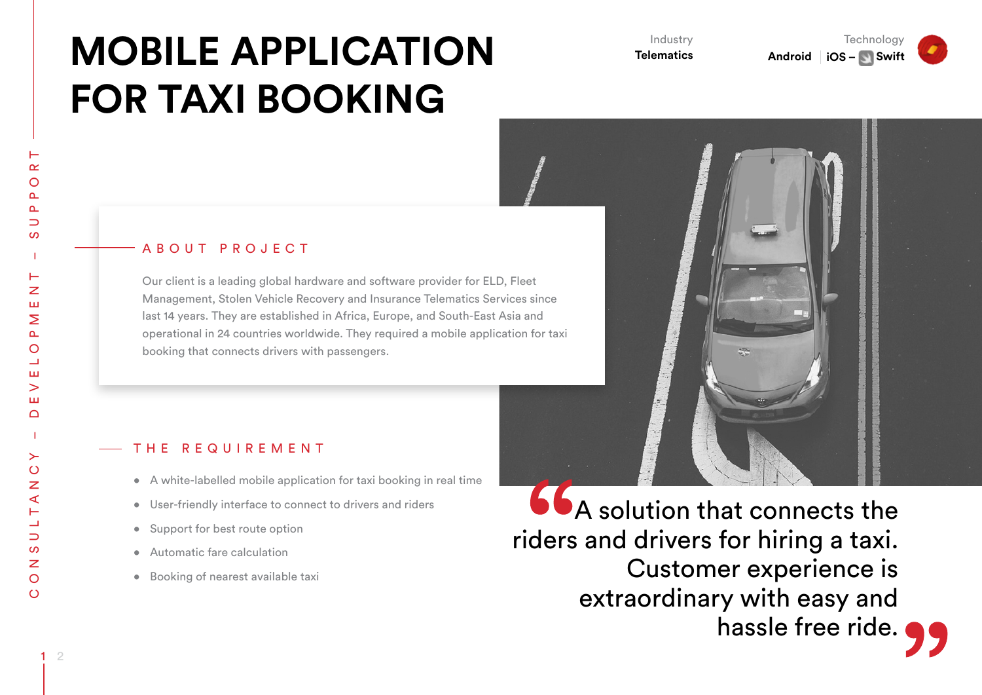# **MOBILE APPLICATION FOR TAXI BOOKING**

Industry **Telematics**

**Technology Android iOS – Swift** 



#### A B O U T P R O J E C T

Our client is a leading global hardware and software provider for ELD, Fleet Management, Stolen Vehicle Recovery and Insurance Telematics Services since last 14 years. They are established in Africa, Europe, and South-East Asia and operational in 24 countries worldwide. They required a mobile application for taxi booking that connects drivers with passengers.

#### THE REQUIREMENT

- A white-labelled mobile application for taxi booking in real time
- • User-friendly interface to connect to drivers and riders
- Support for best route option
- Automatic fare calculation
- • Booking of nearest available taxi

**66** A solution that connects the riders and drivers for hiring a taxi. Customer experience is extraordinary with easy and hassle free ride.